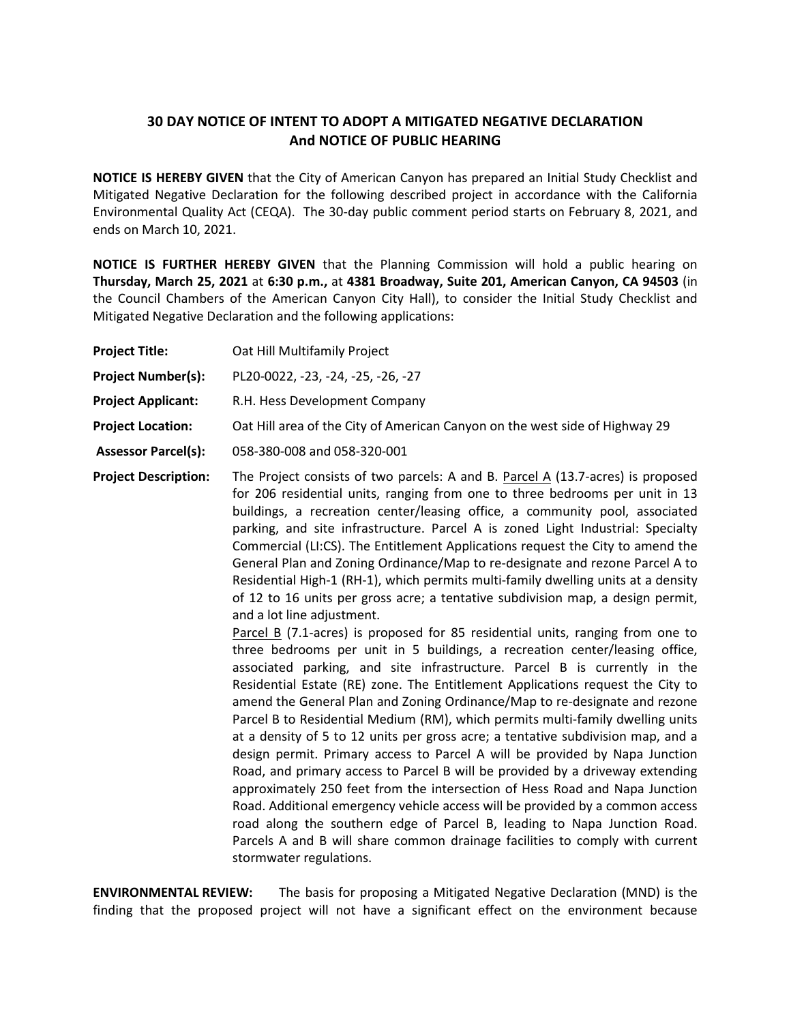## **30 DAY NOTICE OF INTENT TO ADOPT A MITIGATED NEGATIVE DECLARATION And NOTICE OF PUBLIC HEARING**

**NOTICE IS HEREBY GIVEN** that the City of American Canyon has prepared an Initial Study Checklist and Mitigated Negative Declaration for the following described project in accordance with the California Environmental Quality Act (CEQA). The 30-day public comment period starts on February 8, 2021, and ends on March 10, 2021.

**NOTICE IS FURTHER HEREBY GIVEN** that the Planning Commission will hold a public hearing on **Thursday, March 25, 2021** at **6:30 p.m.,** at **4381 Broadway, Suite 201, American Canyon, CA 94503** (in the Council Chambers of the American Canyon City Hall), to consider the Initial Study Checklist and Mitigated Negative Declaration and the following applications:

| <b>Project Title:</b>       | Oat Hill Multifamily Project                                                                                                                                                                                                                                                                                                                                                                                                                                                                                                                                                                                                                                                                              |
|-----------------------------|-----------------------------------------------------------------------------------------------------------------------------------------------------------------------------------------------------------------------------------------------------------------------------------------------------------------------------------------------------------------------------------------------------------------------------------------------------------------------------------------------------------------------------------------------------------------------------------------------------------------------------------------------------------------------------------------------------------|
| <b>Project Number(s):</b>   | PL20-0022, -23, -24, -25, -26, -27                                                                                                                                                                                                                                                                                                                                                                                                                                                                                                                                                                                                                                                                        |
| <b>Project Applicant:</b>   | R.H. Hess Development Company                                                                                                                                                                                                                                                                                                                                                                                                                                                                                                                                                                                                                                                                             |
| <b>Project Location:</b>    | Oat Hill area of the City of American Canyon on the west side of Highway 29                                                                                                                                                                                                                                                                                                                                                                                                                                                                                                                                                                                                                               |
| <b>Assessor Parcel(s):</b>  | 058-380-008 and 058-320-001                                                                                                                                                                                                                                                                                                                                                                                                                                                                                                                                                                                                                                                                               |
| <b>Project Description:</b> | The Project consists of two parcels: A and B. Parcel A (13.7-acres) is proposed<br>for 206 residential units, ranging from one to three bedrooms per unit in 13<br>buildings, a recreation center/leasing office, a community pool, associated<br>parking, and site infrastructure. Parcel A is zoned Light Industrial: Specialty<br>Commercial (LI:CS). The Entitlement Applications request the City to amend the<br>General Plan and Zoning Ordinance/Map to re-designate and rezone Parcel A to<br>Residential High-1 (RH-1), which permits multi-family dwelling units at a density<br>of 12 to 16 units per gross acre; a tentative subdivision map, a design permit,<br>and a lot line adjustment. |

Parcel B (7.1-acres) is proposed for 85 residential units, ranging from one to three bedrooms per unit in 5 buildings, a recreation center/leasing office, associated parking, and site infrastructure. Parcel B is currently in the Residential Estate (RE) zone. The Entitlement Applications request the City to amend the General Plan and Zoning Ordinance/Map to re-designate and rezone Parcel B to Residential Medium (RM), which permits multi-family dwelling units at a density of 5 to 12 units per gross acre; a tentative subdivision map, and a design permit. Primary access to Parcel A will be provided by Napa Junction Road, and primary access to Parcel B will be provided by a driveway extending approximately 250 feet from the intersection of Hess Road and Napa Junction Road. Additional emergency vehicle access will be provided by a common access road along the southern edge of Parcel B, leading to Napa Junction Road. Parcels A and B will share common drainage facilities to comply with current stormwater regulations.

**ENVIRONMENTAL REVIEW:** The basis for proposing a Mitigated Negative Declaration (MND) is the finding that the proposed project will not have a significant effect on the environment because